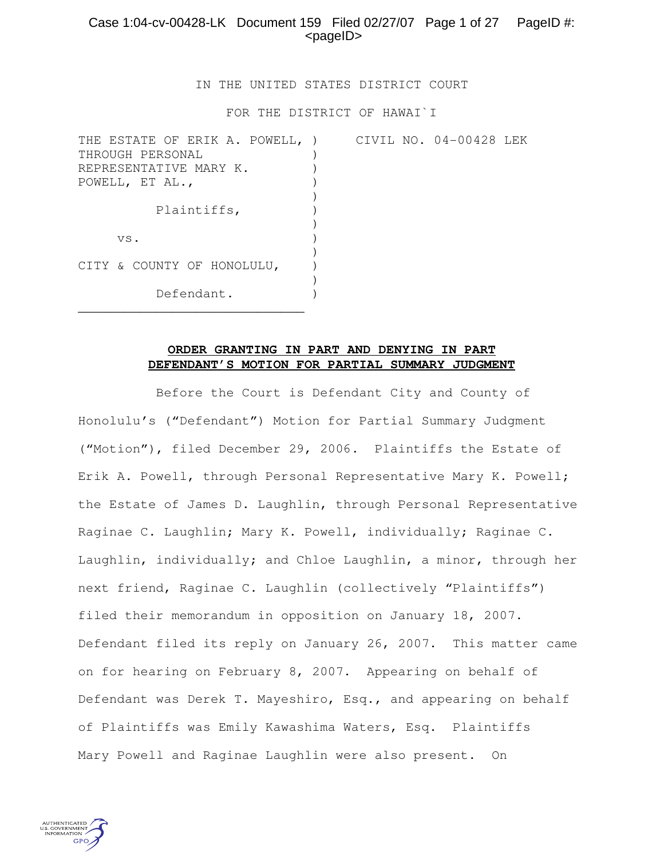# Case 1:04-cv-00428-LK Document 159 Filed 02/27/07 Page 1 of 27 PageID #:  $<$ pageID $>$

IN THE UNITED STATES DISTRICT COURT

FOR THE DISTRICT OF HAWAI`I

| THE ESTATE OF ERIK A. POWELL, ) | CIVIL NO. 04-00428 LEK |
|---------------------------------|------------------------|
| THROUGH PERSONAL                |                        |
| REPRESENTATIVE MARY K.          |                        |
| POWELL, ET AL.,                 |                        |
|                                 |                        |
| Plaintiffs,                     |                        |
|                                 |                        |
| VS.                             |                        |
|                                 |                        |
| CITY & COUNTY OF HONOLULU,      |                        |
|                                 |                        |
| Defendant.                      |                        |
|                                 |                        |

### **ORDER GRANTING IN PART AND DENYING IN PART DEFENDANT'S MOTION FOR PARTIAL SUMMARY JUDGMENT**

Before the Court is Defendant City and County of Honolulu's ("Defendant") Motion for Partial Summary Judgment ("Motion"), filed December 29, 2006. Plaintiffs the Estate of Erik A. Powell, through Personal Representative Mary K. Powell; the Estate of James D. Laughlin, through Personal Representative Raginae C. Laughlin; Mary K. Powell, individually; Raginae C. Laughlin, individually; and Chloe Laughlin, a minor, through her next friend, Raginae C. Laughlin (collectively "Plaintiffs") filed their memorandum in opposition on January 18, 2007. Defendant filed its reply on January 26, 2007. This matter came on for hearing on February 8, 2007. Appearing on behalf of Defendant was Derek T. Mayeshiro, Esq., and appearing on behalf of Plaintiffs was Emily Kawashima Waters, Esq. Plaintiffs Mary Powell and Raginae Laughlin were also present. On

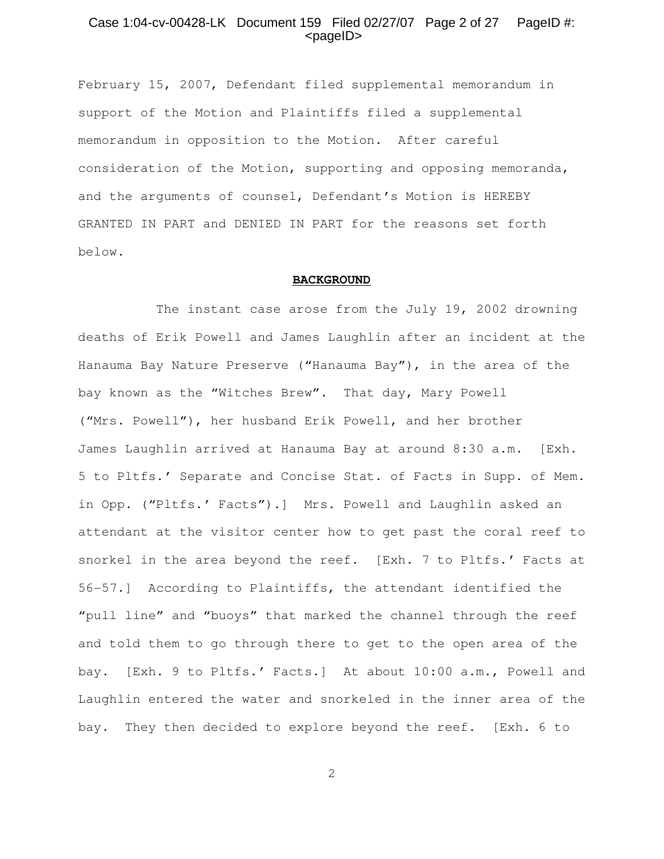## Case 1:04-cv-00428-LK Document 159 Filed 02/27/07 Page 2 of 27 PageID #: <pageID>

February 15, 2007, Defendant filed supplemental memorandum in support of the Motion and Plaintiffs filed a supplemental memorandum in opposition to the Motion. After careful consideration of the Motion, supporting and opposing memoranda, and the arguments of counsel, Defendant's Motion is HEREBY GRANTED IN PART and DENIED IN PART for the reasons set forth below.

#### **BACKGROUND**

The instant case arose from the July 19, 2002 drowning deaths of Erik Powell and James Laughlin after an incident at the Hanauma Bay Nature Preserve ("Hanauma Bay"), in the area of the bay known as the "Witches Brew". That day, Mary Powell ("Mrs. Powell"), her husband Erik Powell, and her brother James Laughlin arrived at Hanauma Bay at around 8:30 a.m. [Exh. 5 to Pltfs.' Separate and Concise Stat. of Facts in Supp. of Mem. in Opp. ("Pltfs.' Facts").] Mrs. Powell and Laughlin asked an attendant at the visitor center how to get past the coral reef to snorkel in the area beyond the reef. [Exh. 7 to Pltfs.' Facts at 56-57.] According to Plaintiffs, the attendant identified the "pull line" and "buoys" that marked the channel through the reef and told them to go through there to get to the open area of the bay. [Exh. 9 to Pltfs.' Facts.] At about 10:00 a.m., Powell and Laughlin entered the water and snorkeled in the inner area of the bay. They then decided to explore beyond the reef. [Exh. 6 to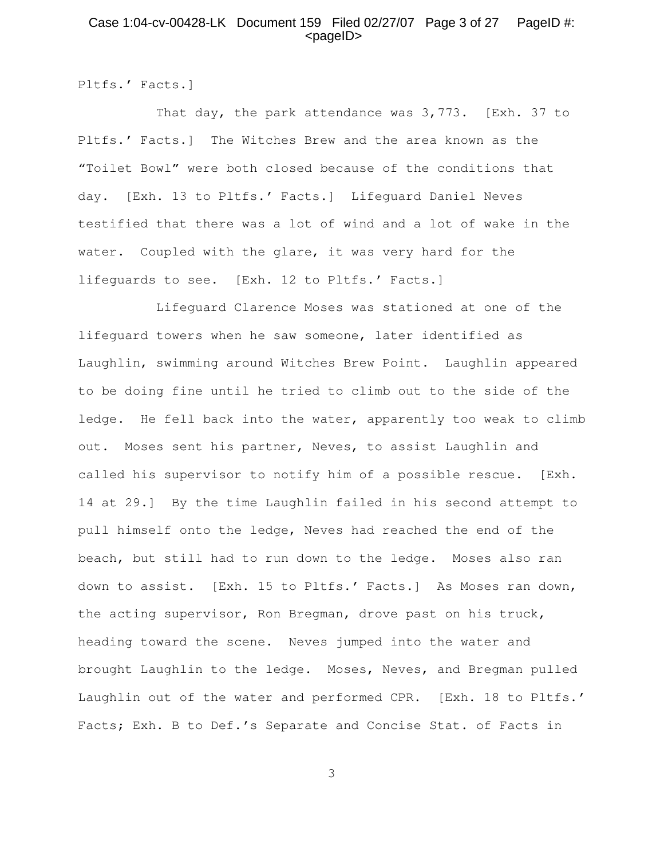## Case 1:04-cv-00428-LK Document 159 Filed 02/27/07 Page 3 of 27 PageID #: <pageID>

Pltfs.' Facts.]

That day, the park attendance was 3,773. [Exh. 37 to Pltfs.' Facts.] The Witches Brew and the area known as the "Toilet Bowl" were both closed because of the conditions that day. [Exh. 13 to Pltfs.' Facts.] Lifeguard Daniel Neves testified that there was a lot of wind and a lot of wake in the water. Coupled with the glare, it was very hard for the lifeguards to see. [Exh. 12 to Pltfs.' Facts.]

Lifeguard Clarence Moses was stationed at one of the lifeguard towers when he saw someone, later identified as Laughlin, swimming around Witches Brew Point. Laughlin appeared to be doing fine until he tried to climb out to the side of the ledge. He fell back into the water, apparently too weak to climb out. Moses sent his partner, Neves, to assist Laughlin and called his supervisor to notify him of a possible rescue. [Exh. 14 at 29.] By the time Laughlin failed in his second attempt to pull himself onto the ledge, Neves had reached the end of the beach, but still had to run down to the ledge. Moses also ran down to assist. [Exh. 15 to Pltfs.' Facts.] As Moses ran down, the acting supervisor, Ron Bregman, drove past on his truck, heading toward the scene. Neves jumped into the water and brought Laughlin to the ledge. Moses, Neves, and Bregman pulled Laughlin out of the water and performed CPR. [Exh. 18 to Pltfs.' Facts; Exh. B to Def.'s Separate and Concise Stat. of Facts in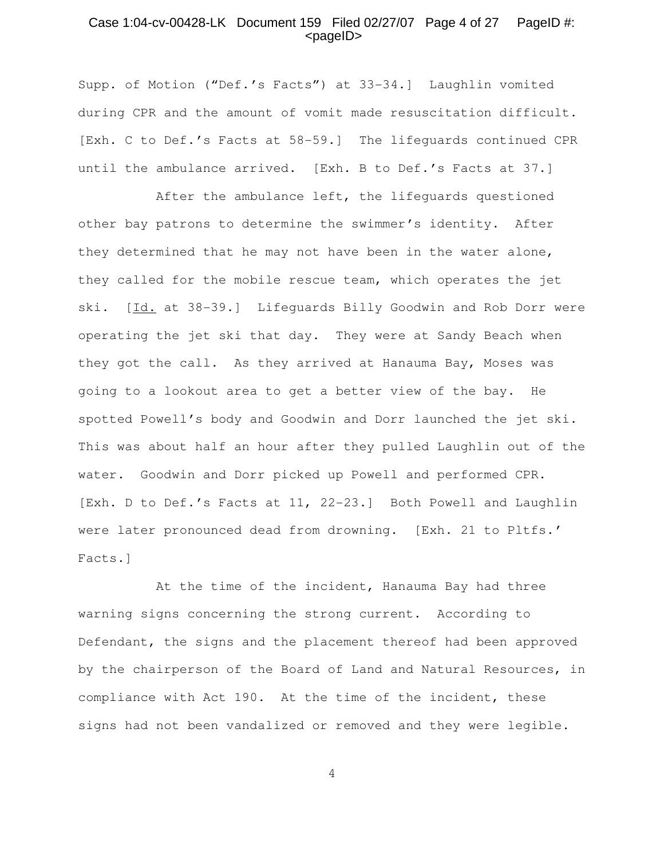## Case 1:04-cv-00428-LK Document 159 Filed 02/27/07 Page 4 of 27 PageID #: <pageID>

Supp. of Motion ("Def.'s Facts") at 33-34.] Laughlin vomited during CPR and the amount of vomit made resuscitation difficult. [Exh. C to Def.'s Facts at 58-59.] The lifeguards continued CPR until the ambulance arrived. [Exh. B to Def.'s Facts at 37.]

After the ambulance left, the lifeguards questioned other bay patrons to determine the swimmer's identity. After they determined that he may not have been in the water alone, they called for the mobile rescue team, which operates the jet ski. [Id. at 38-39.] Lifeguards Billy Goodwin and Rob Dorr were operating the jet ski that day. They were at Sandy Beach when they got the call. As they arrived at Hanauma Bay, Moses was going to a lookout area to get a better view of the bay. He spotted Powell's body and Goodwin and Dorr launched the jet ski. This was about half an hour after they pulled Laughlin out of the water. Goodwin and Dorr picked up Powell and performed CPR. [Exh. D to Def.'s Facts at 11, 22-23.] Both Powell and Laughlin were later pronounced dead from drowning. [Exh. 21 to Pltfs.' Facts.]

At the time of the incident, Hanauma Bay had three warning signs concerning the strong current. According to Defendant, the signs and the placement thereof had been approved by the chairperson of the Board of Land and Natural Resources, in compliance with Act 190. At the time of the incident, these signs had not been vandalized or removed and they were legible.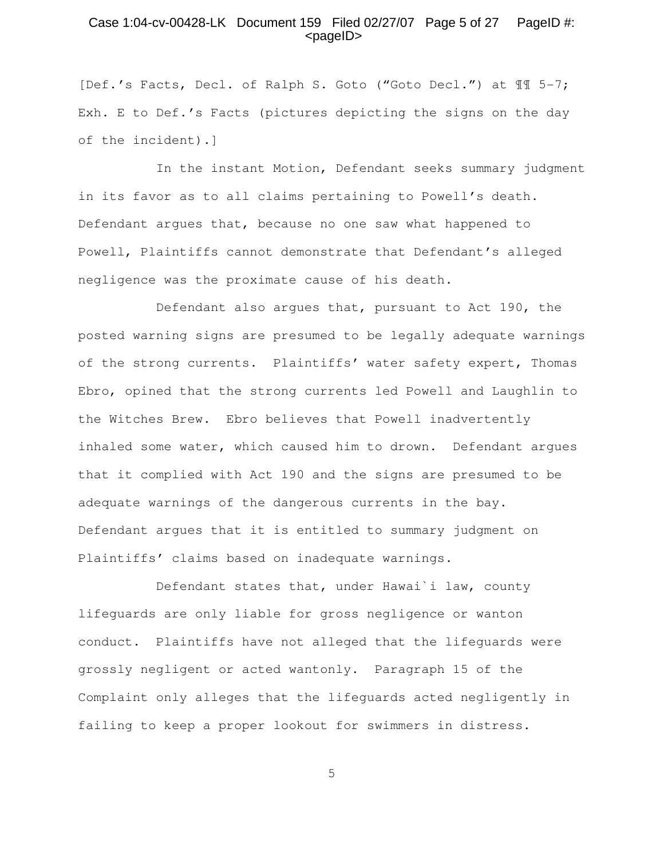### Case 1:04-cv-00428-LK Document 159 Filed 02/27/07 Page 5 of 27 PageID #: <pageID>

[Def.'s Facts, Decl. of Ralph S. Goto ("Goto Decl.") at ¶¶ 5-7; Exh. E to Def.'s Facts (pictures depicting the signs on the day of the incident).]

In the instant Motion, Defendant seeks summary judgment in its favor as to all claims pertaining to Powell's death. Defendant argues that, because no one saw what happened to Powell, Plaintiffs cannot demonstrate that Defendant's alleged negligence was the proximate cause of his death.

Defendant also argues that, pursuant to Act 190, the posted warning signs are presumed to be legally adequate warnings of the strong currents. Plaintiffs' water safety expert, Thomas Ebro, opined that the strong currents led Powell and Laughlin to the Witches Brew. Ebro believes that Powell inadvertently inhaled some water, which caused him to drown. Defendant argues that it complied with Act 190 and the signs are presumed to be adequate warnings of the dangerous currents in the bay. Defendant argues that it is entitled to summary judgment on Plaintiffs' claims based on inadequate warnings.

Defendant states that, under Hawai`i law, county lifeguards are only liable for gross negligence or wanton conduct. Plaintiffs have not alleged that the lifeguards were grossly negligent or acted wantonly. Paragraph 15 of the Complaint only alleges that the lifeguards acted negligently in failing to keep a proper lookout for swimmers in distress.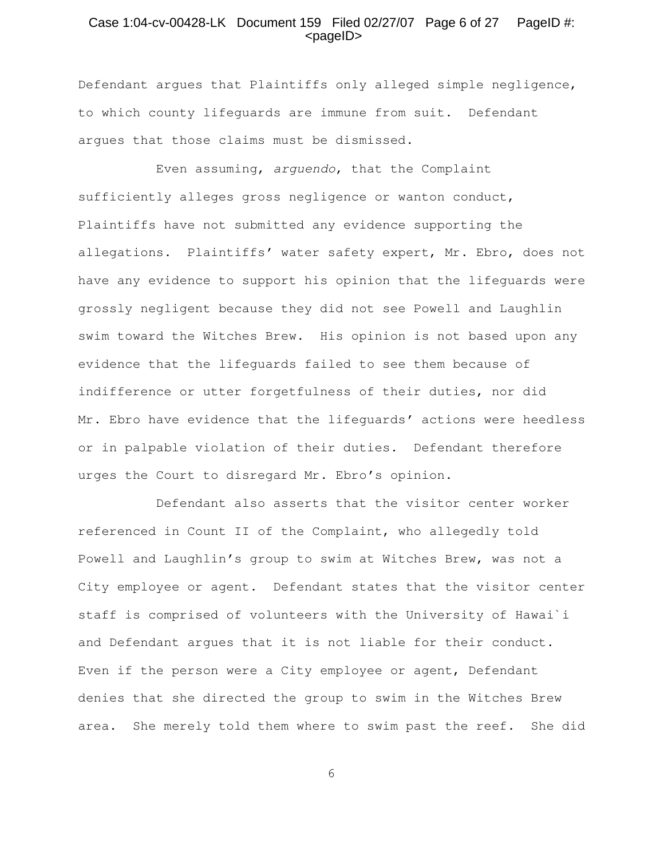## Case 1:04-cv-00428-LK Document 159 Filed 02/27/07 Page 6 of 27 PageID #: <pageID>

Defendant argues that Plaintiffs only alleged simple negligence, to which county lifeguards are immune from suit. Defendant argues that those claims must be dismissed.

Even assuming, arguendo, that the Complaint sufficiently alleges gross negligence or wanton conduct, Plaintiffs have not submitted any evidence supporting the allegations. Plaintiffs' water safety expert, Mr. Ebro, does not have any evidence to support his opinion that the lifeguards were grossly negligent because they did not see Powell and Laughlin swim toward the Witches Brew. His opinion is not based upon any evidence that the lifeguards failed to see them because of indifference or utter forgetfulness of their duties, nor did Mr. Ebro have evidence that the lifeguards' actions were heedless or in palpable violation of their duties. Defendant therefore urges the Court to disregard Mr. Ebro's opinion.

Defendant also asserts that the visitor center worker referenced in Count II of the Complaint, who allegedly told Powell and Laughlin's group to swim at Witches Brew, was not a City employee or agent. Defendant states that the visitor center staff is comprised of volunteers with the University of Hawai`i and Defendant argues that it is not liable for their conduct. Even if the person were a City employee or agent, Defendant denies that she directed the group to swim in the Witches Brew area. She merely told them where to swim past the reef. She did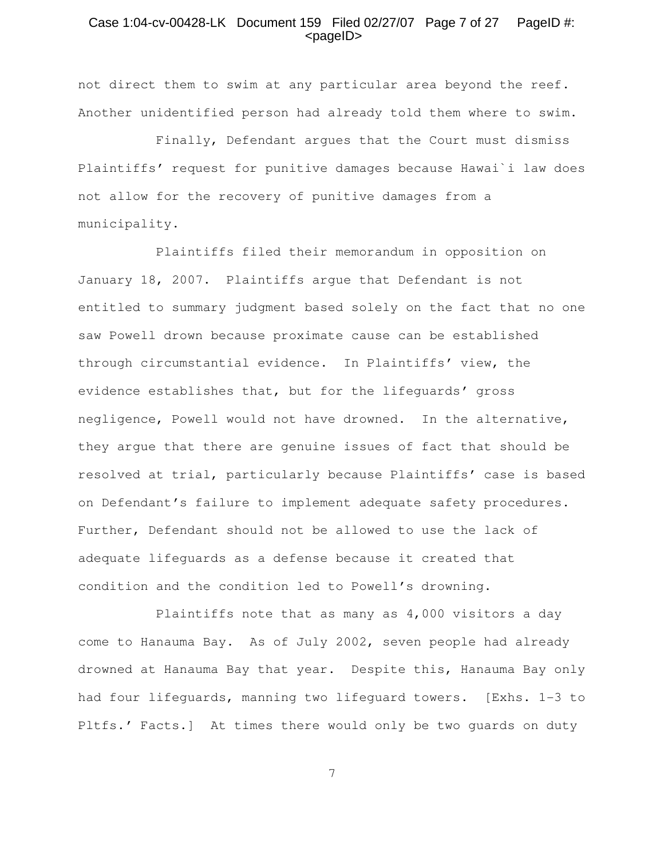## Case 1:04-cv-00428-LK Document 159 Filed 02/27/07 Page 7 of 27 PageID #: <pageID>

not direct them to swim at any particular area beyond the reef. Another unidentified person had already told them where to swim.

Finally, Defendant argues that the Court must dismiss Plaintiffs' request for punitive damages because Hawai`i law does not allow for the recovery of punitive damages from a municipality.

Plaintiffs filed their memorandum in opposition on January 18, 2007. Plaintiffs argue that Defendant is not entitled to summary judgment based solely on the fact that no one saw Powell drown because proximate cause can be established through circumstantial evidence. In Plaintiffs' view, the evidence establishes that, but for the lifeguards' gross negligence, Powell would not have drowned. In the alternative, they argue that there are genuine issues of fact that should be resolved at trial, particularly because Plaintiffs' case is based on Defendant's failure to implement adequate safety procedures. Further, Defendant should not be allowed to use the lack of adequate lifeguards as a defense because it created that condition and the condition led to Powell's drowning.

Plaintiffs note that as many as 4,000 visitors a day come to Hanauma Bay. As of July 2002, seven people had already drowned at Hanauma Bay that year. Despite this, Hanauma Bay only had four lifeguards, manning two lifeguard towers. [Exhs. 1-3 to Pltfs.' Facts.] At times there would only be two guards on duty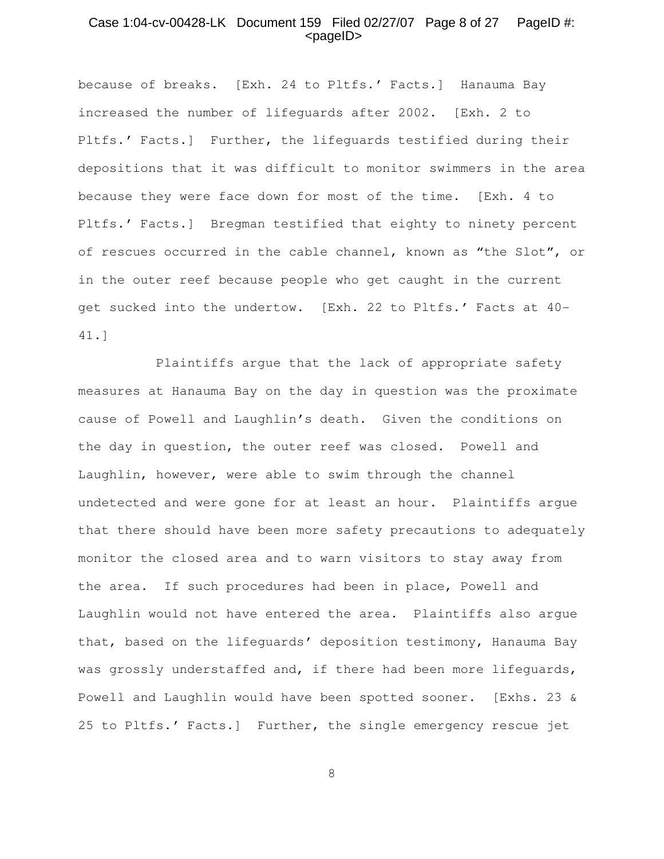## Case 1:04-cv-00428-LK Document 159 Filed 02/27/07 Page 8 of 27 PageID #: <pageID>

because of breaks. [Exh. 24 to Pltfs.' Facts.] Hanauma Bay increased the number of lifeguards after 2002. [Exh. 2 to Pltfs.' Facts.] Further, the lifeguards testified during their depositions that it was difficult to monitor swimmers in the area because they were face down for most of the time. [Exh. 4 to Pltfs.' Facts.] Bregman testified that eighty to ninety percent of rescues occurred in the cable channel, known as "the Slot", or in the outer reef because people who get caught in the current get sucked into the undertow. [Exh. 22 to Pltfs.' Facts at 40- 41.]

Plaintiffs argue that the lack of appropriate safety measures at Hanauma Bay on the day in question was the proximate cause of Powell and Laughlin's death. Given the conditions on the day in question, the outer reef was closed. Powell and Laughlin, however, were able to swim through the channel undetected and were gone for at least an hour. Plaintiffs argue that there should have been more safety precautions to adequately monitor the closed area and to warn visitors to stay away from the area. If such procedures had been in place, Powell and Laughlin would not have entered the area. Plaintiffs also argue that, based on the lifeguards' deposition testimony, Hanauma Bay was grossly understaffed and, if there had been more lifeguards, Powell and Laughlin would have been spotted sooner. [Exhs. 23 & 25 to Pltfs.' Facts.] Further, the single emergency rescue jet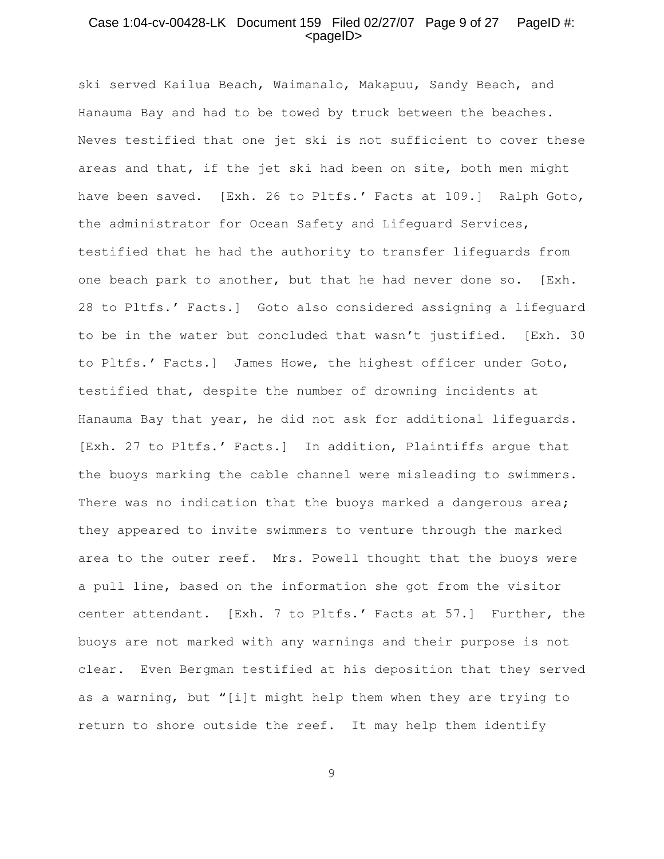## Case 1:04-cv-00428-LK Document 159 Filed 02/27/07 Page 9 of 27 PageID #: <pageID>

ski served Kailua Beach, Waimanalo, Makapuu, Sandy Beach, and Hanauma Bay and had to be towed by truck between the beaches. Neves testified that one jet ski is not sufficient to cover these areas and that, if the jet ski had been on site, both men might have been saved. [Exh. 26 to Pltfs.' Facts at 109.] Ralph Goto, the administrator for Ocean Safety and Lifeguard Services, testified that he had the authority to transfer lifeguards from one beach park to another, but that he had never done so. [Exh. 28 to Pltfs.' Facts.] Goto also considered assigning a lifeguard to be in the water but concluded that wasn't justified. [Exh. 30 to Pltfs.' Facts.] James Howe, the highest officer under Goto, testified that, despite the number of drowning incidents at Hanauma Bay that year, he did not ask for additional lifeguards. [Exh. 27 to Pltfs.' Facts.] In addition, Plaintiffs argue that the buoys marking the cable channel were misleading to swimmers. There was no indication that the buoys marked a dangerous area; they appeared to invite swimmers to venture through the marked area to the outer reef. Mrs. Powell thought that the buoys were a pull line, based on the information she got from the visitor center attendant. [Exh. 7 to Pltfs.' Facts at 57.] Further, the buoys are not marked with any warnings and their purpose is not clear. Even Bergman testified at his deposition that they served as a warning, but "[i]t might help them when they are trying to return to shore outside the reef. It may help them identify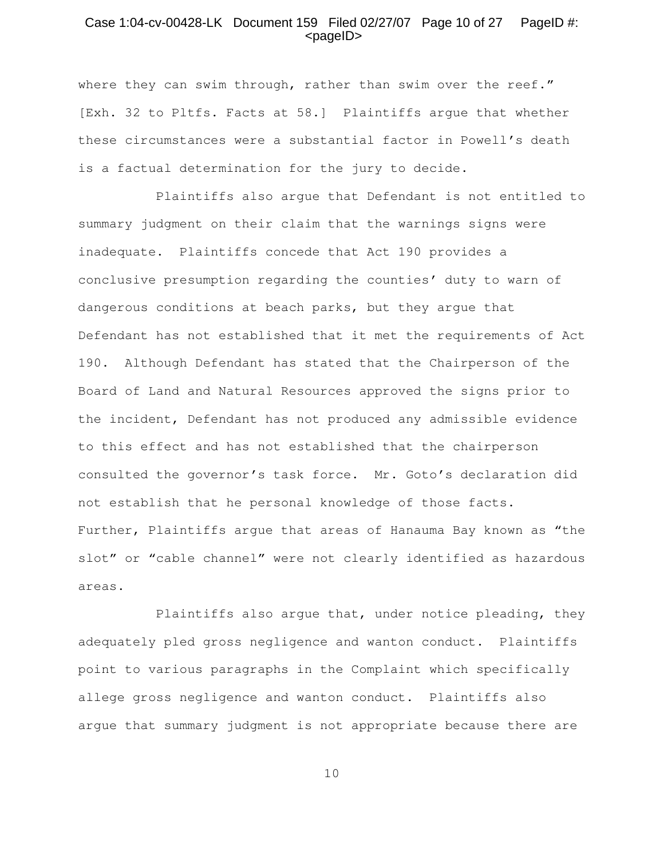## Case 1:04-cv-00428-LK Document 159 Filed 02/27/07 Page 10 of 27 PageID #: <pageID>

where they can swim through, rather than swim over the reef." [Exh. 32 to Pltfs. Facts at 58.] Plaintiffs argue that whether these circumstances were a substantial factor in Powell's death is a factual determination for the jury to decide.

Plaintiffs also argue that Defendant is not entitled to summary judgment on their claim that the warnings signs were inadequate. Plaintiffs concede that Act 190 provides a conclusive presumption regarding the counties' duty to warn of dangerous conditions at beach parks, but they argue that Defendant has not established that it met the requirements of Act 190. Although Defendant has stated that the Chairperson of the Board of Land and Natural Resources approved the signs prior to the incident, Defendant has not produced any admissible evidence to this effect and has not established that the chairperson consulted the governor's task force. Mr. Goto's declaration did not establish that he personal knowledge of those facts. Further, Plaintiffs argue that areas of Hanauma Bay known as "the slot" or "cable channel" were not clearly identified as hazardous areas.

Plaintiffs also argue that, under notice pleading, they adequately pled gross negligence and wanton conduct. Plaintiffs point to various paragraphs in the Complaint which specifically allege gross negligence and wanton conduct. Plaintiffs also argue that summary judgment is not appropriate because there are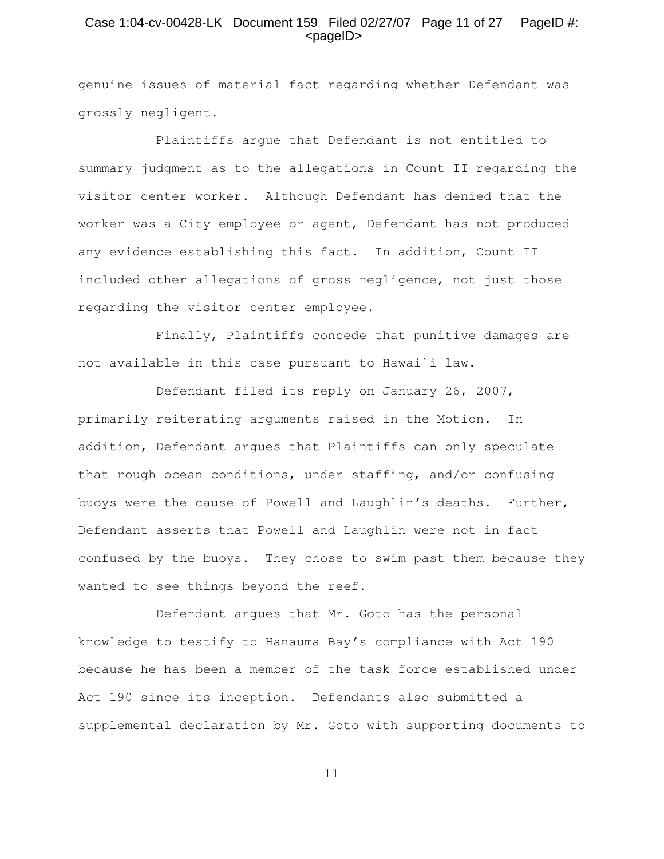## Case 1:04-cv-00428-LK Document 159 Filed 02/27/07 Page 11 of 27 PageID #:  $<$ pageID $>$

genuine issues of material fact regarding whether Defendant was grossly negligent.

Plaintiffs argue that Defendant is not entitled to summary judgment as to the allegations in Count II regarding the visitor center worker. Although Defendant has denied that the worker was a City employee or agent, Defendant has not produced any evidence establishing this fact. In addition, Count II included other allegations of gross negligence, not just those regarding the visitor center employee.

Finally, Plaintiffs concede that punitive damages are not available in this case pursuant to Hawai`i law.

Defendant filed its reply on January 26, 2007, primarily reiterating arguments raised in the Motion. In addition, Defendant argues that Plaintiffs can only speculate that rough ocean conditions, under staffing, and/or confusing buoys were the cause of Powell and Laughlin's deaths. Further, Defendant asserts that Powell and Laughlin were not in fact confused by the buoys. They chose to swim past them because they wanted to see things beyond the reef.

Defendant argues that Mr. Goto has the personal knowledge to testify to Hanauma Bay's compliance with Act 190 because he has been a member of the task force established under Act 190 since its inception. Defendants also submitted a supplemental declaration by Mr. Goto with supporting documents to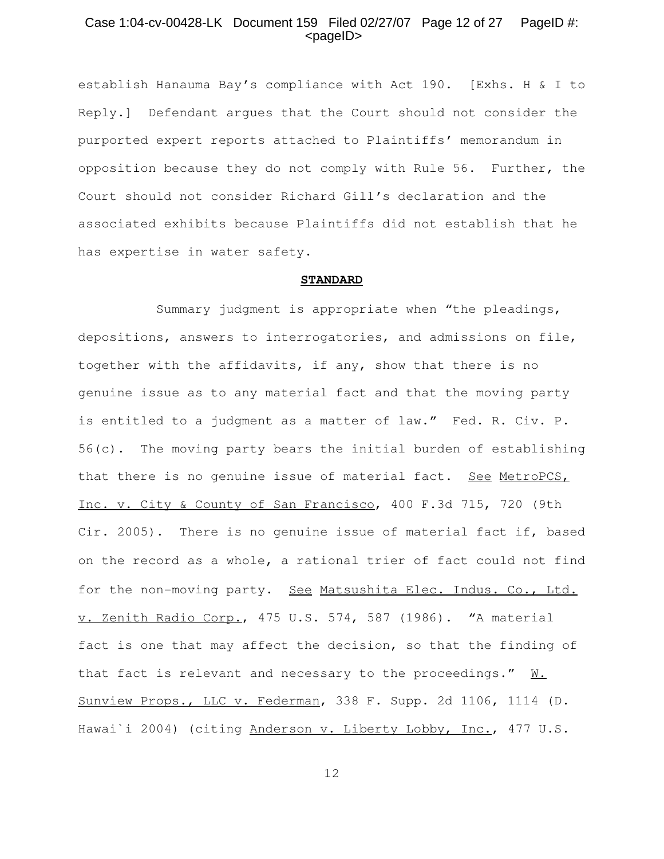## Case 1:04-cv-00428-LK Document 159 Filed 02/27/07 Page 12 of 27 PageID #: <pageID>

establish Hanauma Bay's compliance with Act 190. [Exhs. H & I to Reply.] Defendant argues that the Court should not consider the purported expert reports attached to Plaintiffs' memorandum in opposition because they do not comply with Rule 56. Further, the Court should not consider Richard Gill's declaration and the associated exhibits because Plaintiffs did not establish that he has expertise in water safety.

#### **STANDARD**

Summary judgment is appropriate when "the pleadings, depositions, answers to interrogatories, and admissions on file, together with the affidavits, if any, show that there is no genuine issue as to any material fact and that the moving party is entitled to a judgment as a matter of law." Fed. R. Civ. P. 56(c). The moving party bears the initial burden of establishing that there is no genuine issue of material fact. See MetroPCS, Inc. v. City & County of San Francisco, 400 F.3d 715, 720 (9th Cir. 2005). There is no genuine issue of material fact if, based on the record as a whole**,** a rational trier of fact could not find for the non-moving party. See Matsushita Elec. Indus. Co., Ltd. v. Zenith Radio Corp., 475 U.S. 574, 587 (1986). "A material fact is one that may affect the decision, so that the finding of that fact is relevant and necessary to the proceedings." W. Sunview Props., LLC v. Federman, 338 F. Supp. 2d 1106, 1114 (D. Hawai`i 2004) (citing Anderson v. Liberty Lobby, Inc., 477 U.S.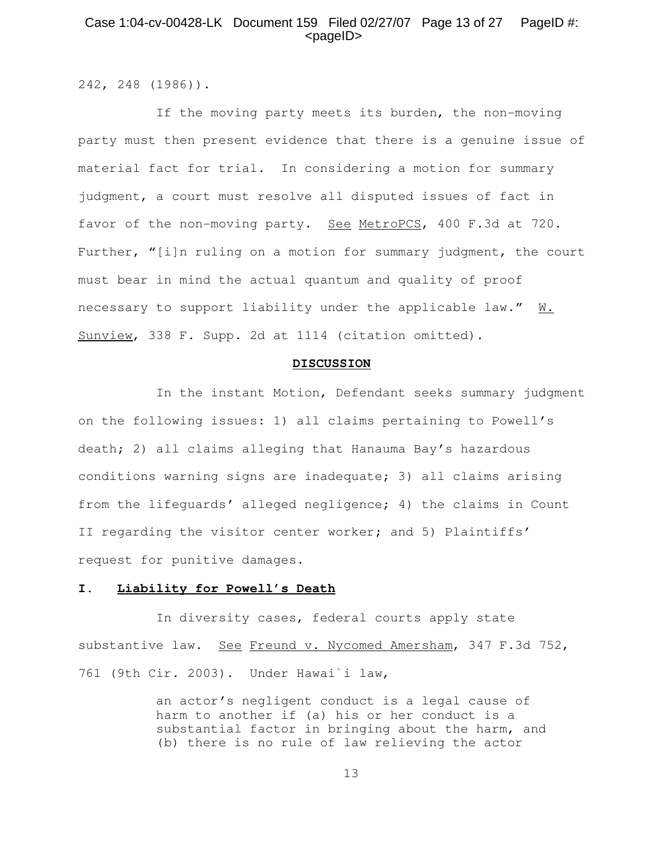### Case 1:04-cv-00428-LK Document 159 Filed 02/27/07 Page 13 of 27 PageID #:  $<$ pageID $>$

242, 248 (1986)).

If the moving party meets its burden, the non-moving party must then present evidence that there is a genuine issue of material fact for trial. In considering a motion for summary judgment, a court must resolve all disputed issues of fact in favor of the non-moving party. See MetroPCS, 400 F.3d at 720. Further, "[i]n ruling on a motion for summary judgment, the court must bear in mind the actual quantum and quality of proof necessary to support liability under the applicable law."  $\mathbb{W}$ . Sunview, 338 F. Supp. 2d at 1114 (citation omitted).

#### **DISCUSSION**

In the instant Motion, Defendant seeks summary judgment on the following issues: 1) all claims pertaining to Powell's death; 2) all claims alleging that Hanauma Bay's hazardous conditions warning signs are inadequate; 3) all claims arising from the lifeguards' alleged negligence; 4) the claims in Count II regarding the visitor center worker; and 5) Plaintiffs' request for punitive damages.

#### **I. Liability for Powell's Death**

In diversity cases, federal courts apply state substantive law. See Freund v. Nycomed Amersham, 347 F.3d 752, 761 (9th Cir. 2003). Under Hawai`i law,

> an actor's negligent conduct is a legal cause of harm to another if (a) his or her conduct is a substantial factor in bringing about the harm, and (b) there is no rule of law relieving the actor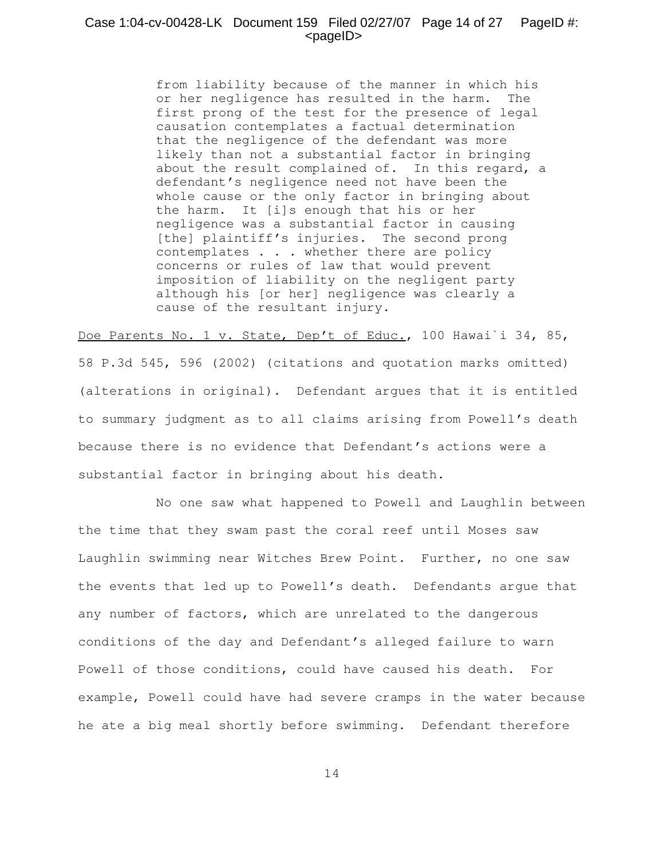#### Case 1:04-cv-00428-LK Document 159 Filed 02/27/07 Page 14 of 27 PageID #:  $<$ pageID $>$

from liability because of the manner in which his or her negligence has resulted in the harm. The first prong of the test for the presence of legal causation contemplates a factual determination that the negligence of the defendant was more likely than not a substantial factor in bringing about the result complained of. In this regard, a defendant's negligence need not have been the whole cause or the only factor in bringing about the harm. It [i]s enough that his or her negligence was a substantial factor in causing [the] plaintiff's injuries. The second prong contemplates . . . whether there are policy concerns or rules of law that would prevent imposition of liability on the negligent party although his [or her] negligence was clearly a cause of the resultant injury.

Doe Parents No. 1 v. State, Dep't of Educ., 100 Hawai'i 34, 85, 58 P.3d 545, 596 (2002) (citations and quotation marks omitted) (alterations in original). Defendant argues that it is entitled to summary judgment as to all claims arising from Powell's death because there is no evidence that Defendant's actions were a substantial factor in bringing about his death.

No one saw what happened to Powell and Laughlin between the time that they swam past the coral reef until Moses saw Laughlin swimming near Witches Brew Point. Further, no one saw the events that led up to Powell's death. Defendants argue that any number of factors, which are unrelated to the dangerous conditions of the day and Defendant's alleged failure to warn Powell of those conditions, could have caused his death. For example, Powell could have had severe cramps in the water because he ate a big meal shortly before swimming. Defendant therefore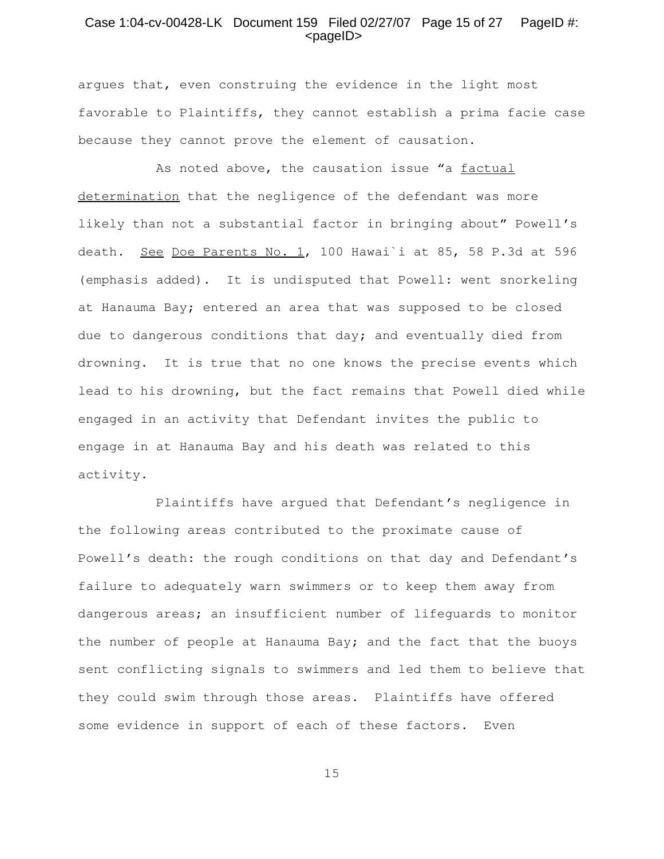## Case 1:04-cv-00428-LK Document 159 Filed 02/27/07 Page 15 of 27 PageID #: <pageID>

argues that, even construing the evidence in the light most favorable to Plaintiffs, they cannot establish a prima facie case because they cannot prove the element of causation.

As noted above, the causation issue "a factual determination that the negligence of the defendant was more likely than not a substantial factor in bringing about" Powell's death. See Doe Parents No. 1, 100 Hawai'i at 85, 58 P.3d at 596 (emphasis added). It is undisputed that Powell: went snorkeling at Hanauma Bay; entered an area that was supposed to be closed due to dangerous conditions that day; and eventually died from drowning. It is true that no one knows the precise events which lead to his drowning, but the fact remains that Powell died while engaged in an activity that Defendant invites the public to engage in at Hanauma Bay and his death was related to this activity.

Plaintiffs have argued that Defendant's negligence in the following areas contributed to the proximate cause of Powell's death: the rough conditions on that day and Defendant's failure to adequately warn swimmers or to keep them away from dangerous areas; an insufficient number of lifeguards to monitor the number of people at Hanauma Bay; and the fact that the buoys sent conflicting signals to swimmers and led them to believe that they could swim through those areas. Plaintiffs have offered some evidence in support of each of these factors. Even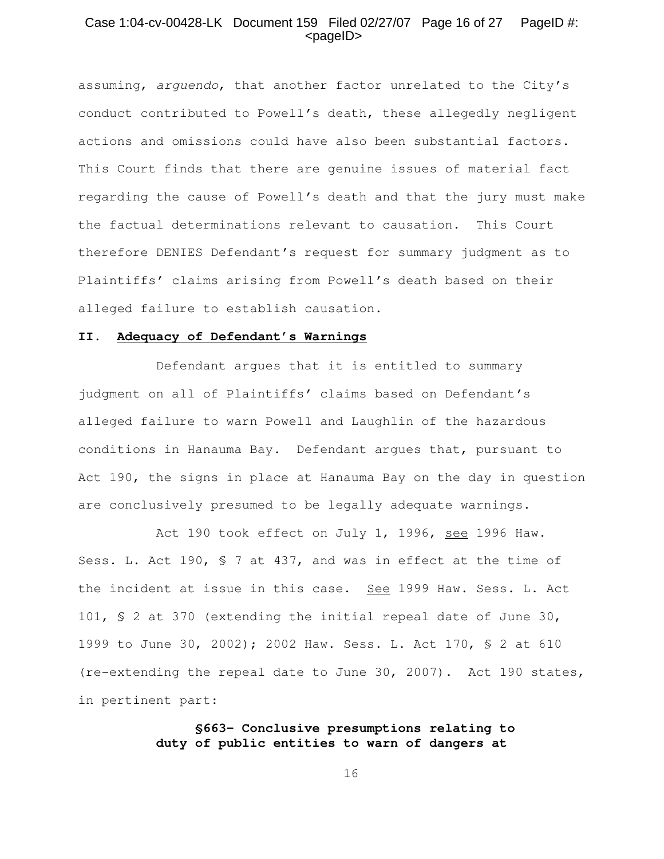### Case 1:04-cv-00428-LK Document 159 Filed 02/27/07 Page 16 of 27 PageID #:  $<$ pageID $>$

assuming, arguendo, that another factor unrelated to the City's conduct contributed to Powell's death, these allegedly negligent actions and omissions could have also been substantial factors. This Court finds that there are genuine issues of material fact regarding the cause of Powell's death and that the jury must make the factual determinations relevant to causation. This Court therefore DENIES Defendant's request for summary judgment as to Plaintiffs' claims arising from Powell's death based on their alleged failure to establish causation.

#### **II. Adequacy of Defendant's Warnings**

Defendant argues that it is entitled to summary judgment on all of Plaintiffs' claims based on Defendant's alleged failure to warn Powell and Laughlin of the hazardous conditions in Hanauma Bay. Defendant argues that, pursuant to Act 190, the signs in place at Hanauma Bay on the day in question are conclusively presumed to be legally adequate warnings.

Act 190 took effect on July 1, 1996, see 1996 Haw. Sess. L. Act 190, § 7 at 437, and was in effect at the time of the incident at issue in this case. See 1999 Haw. Sess. L. Act 101, § 2 at 370 (extending the initial repeal date of June 30, 1999 to June 30, 2002); 2002 Haw. Sess. L. Act 170, § 2 at 610 (re-extending the repeal date to June 30, 2007). Act 190 states, in pertinent part:

> **§663- Conclusive presumptions relating to duty of public entities to warn of dangers at**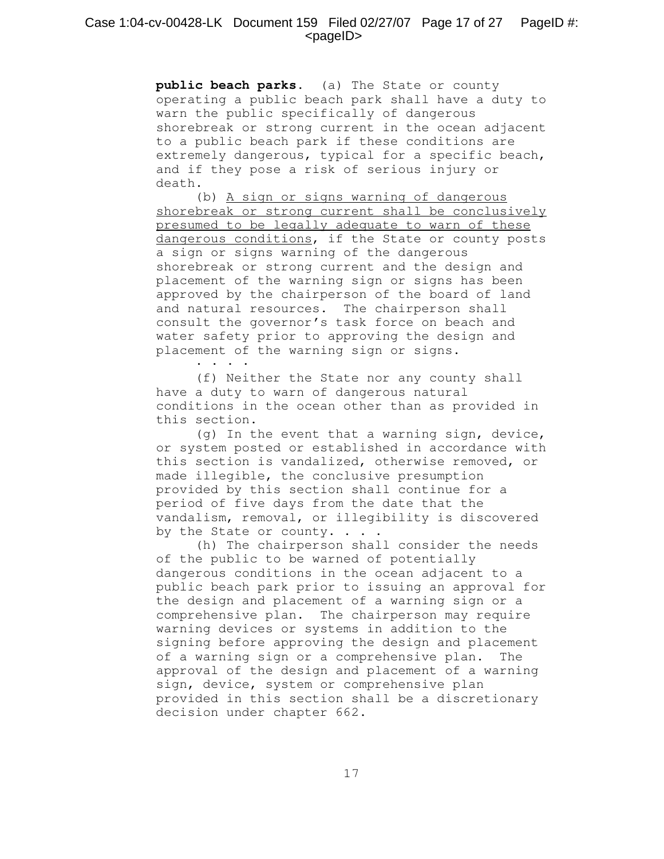## Case 1:04-cv-00428-LK Document 159 Filed 02/27/07 Page 17 of 27 PageID #:  $<$ pageID $>$

**public beach parks.** (a) The State or county operating a public beach park shall have a duty to warn the public specifically of dangerous shorebreak or strong current in the ocean adjacent to a public beach park if these conditions are extremely dangerous, typical for a specific beach, and if they pose a risk of serious injury or death.

(b) A sign or signs warning of dangerous shorebreak or strong current shall be conclusively presumed to be legally adequate to warn of these dangerous conditions, if the State or county posts a sign or signs warning of the dangerous shorebreak or strong current and the design and placement of the warning sign or signs has been approved by the chairperson of the board of land and natural resources. The chairperson shall consult the governor's task force on beach and water safety prior to approving the design and placement of the warning sign or signs.

· · · ·

(f) Neither the State nor any county shall have a duty to warn of dangerous natural conditions in the ocean other than as provided in this section.

(g) In the event that a warning sign, device, or system posted or established in accordance with this section is vandalized, otherwise removed, or made illegible, the conclusive presumption provided by this section shall continue for a period of five days from the date that the vandalism, removal, or illegibility is discovered by the State or county. . . .

(h) The chairperson shall consider the needs of the public to be warned of potentially dangerous conditions in the ocean adjacent to a public beach park prior to issuing an approval for the design and placement of a warning sign or a comprehensive plan. The chairperson may require warning devices or systems in addition to the signing before approving the design and placement of a warning sign or a comprehensive plan. The approval of the design and placement of a warning sign, device, system or comprehensive plan provided in this section shall be a discretionary decision under chapter 662.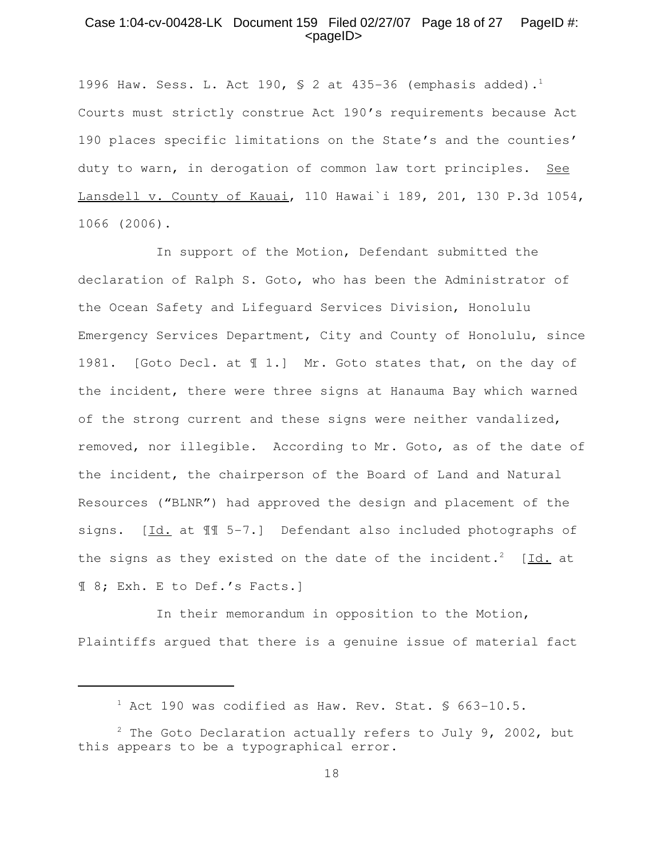## Case 1:04-cv-00428-LK Document 159 Filed 02/27/07 Page 18 of 27 PageID #:  $<$ pageID $>$

1996 Haw. Sess. L. Act 190,  $\S$  2 at 435-36 (emphasis added).<sup>1</sup> Courts must strictly construe Act 190's requirements because Act 190 places specific limitations on the State's and the counties' duty to warn, in derogation of common law tort principles. See Lansdell v. County of Kauai, 110 Hawai`i 189, 201, 130 P.3d 1054, 1066 (2006).

In support of the Motion, Defendant submitted the declaration of Ralph S. Goto, who has been the Administrator of the Ocean Safety and Lifeguard Services Division, Honolulu Emergency Services Department, City and County of Honolulu, since 1981. [Goto Decl. at  $\text{\ensuremath{\mathbb{I}}\xspace}$  1.] Mr. Goto states that, on the day of the incident, there were three signs at Hanauma Bay which warned of the strong current and these signs were neither vandalized, removed, nor illegible. According to Mr. Goto, as of the date of the incident, the chairperson of the Board of Land and Natural Resources ("BLNR") had approved the design and placement of the signs. [Id. at  $\mathbb{I}\mathbb{I}$  5-7.] Defendant also included photographs of the signs as they existed on the date of the incident.<sup>2</sup> [Id. at ¶ 8; Exh. E to Def.'s Facts.]

In their memorandum in opposition to the Motion, Plaintiffs argued that there is a genuine issue of material fact

 $1$  Act 190 was codified as Haw. Rev. Stat. § 663-10.5.

 $2$  The Goto Declaration actually refers to July 9, 2002, but this appears to be a typographical error.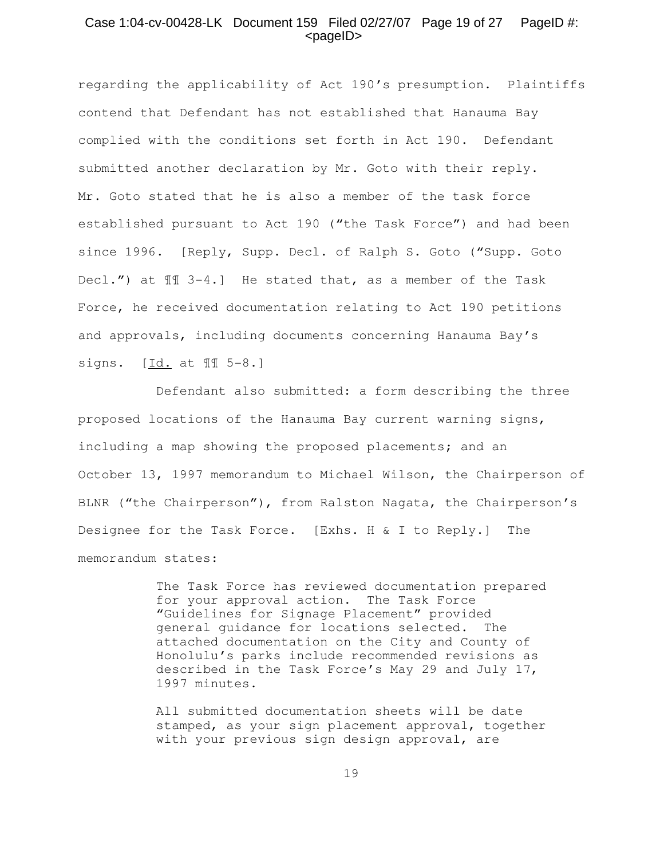### Case 1:04-cv-00428-LK Document 159 Filed 02/27/07 Page 19 of 27 PageID #:  $<$ pageID $>$

regarding the applicability of Act 190's presumption. Plaintiffs contend that Defendant has not established that Hanauma Bay complied with the conditions set forth in Act 190. Defendant submitted another declaration by Mr. Goto with their reply. Mr. Goto stated that he is also a member of the task force established pursuant to Act 190 ("the Task Force") and had been since 1996. [Reply, Supp. Decl. of Ralph S. Goto ("Supp. Goto Decl.") at ¶¶ 3-4.] He stated that, as a member of the Task Force, he received documentation relating to Act 190 petitions and approvals, including documents concerning Hanauma Bay's signs.  $[\underline{Id.}$  at  $\P$   $\overline{1}$  5-8.]

Defendant also submitted: a form describing the three proposed locations of the Hanauma Bay current warning signs, including a map showing the proposed placements; and an October 13, 1997 memorandum to Michael Wilson, the Chairperson of BLNR ("the Chairperson"), from Ralston Nagata, the Chairperson's Designee for the Task Force. [Exhs. H & I to Reply.] The memorandum states:

> The Task Force has reviewed documentation prepared for your approval action. The Task Force "Guidelines for Signage Placement" provided general guidance for locations selected. The attached documentation on the City and County of Honolulu's parks include recommended revisions as described in the Task Force's May 29 and July 17, 1997 minutes.

> All submitted documentation sheets will be date stamped, as your sign placement approval, together with your previous sign design approval, are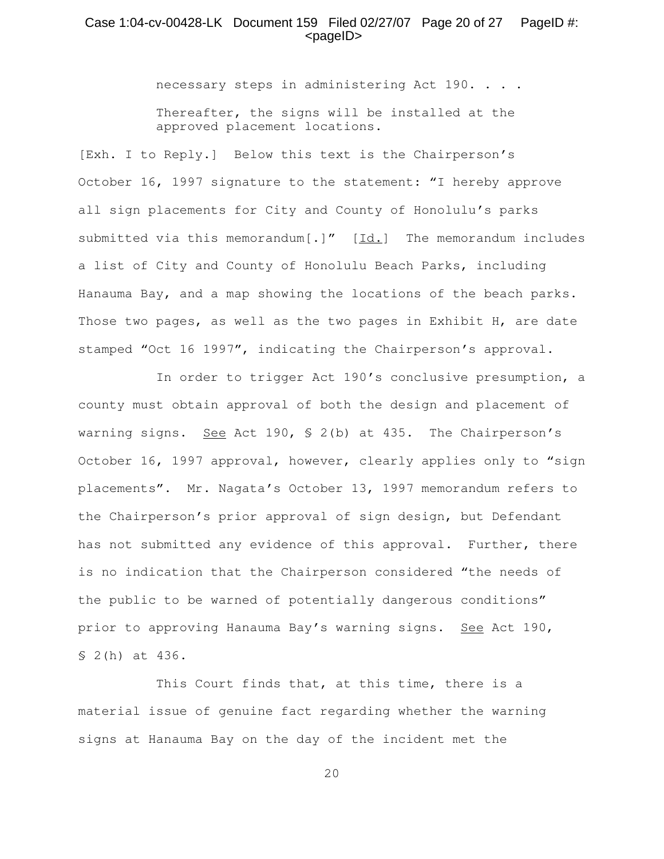## Case 1:04-cv-00428-LK Document 159 Filed 02/27/07 Page 20 of 27 PageID #: <pageID>

necessary steps in administering Act 190. . . . Thereafter, the signs will be installed at the approved placement locations.

[Exh. I to Reply.] Below this text is the Chairperson's October 16, 1997 signature to the statement: "I hereby approve all sign placements for City and County of Honolulu's parks submitted via this memorandum[.]"  $[Id.]$  The memorandum includes a list of City and County of Honolulu Beach Parks, including Hanauma Bay, and a map showing the locations of the beach parks. Those two pages, as well as the two pages in Exhibit H, are date stamped "Oct 16 1997", indicating the Chairperson's approval.

In order to trigger Act 190's conclusive presumption, a county must obtain approval of both the design and placement of warning signs. See Act 190,  $\frac{1}{2}$  (b) at 435. The Chairperson's October 16, 1997 approval, however, clearly applies only to "sign placements". Mr. Nagata's October 13, 1997 memorandum refers to the Chairperson's prior approval of sign design, but Defendant has not submitted any evidence of this approval. Further, there is no indication that the Chairperson considered "the needs of the public to be warned of potentially dangerous conditions" prior to approving Hanauma Bay's warning signs. See Act 190, § 2(h) at 436.

This Court finds that, at this time, there is a material issue of genuine fact regarding whether the warning signs at Hanauma Bay on the day of the incident met the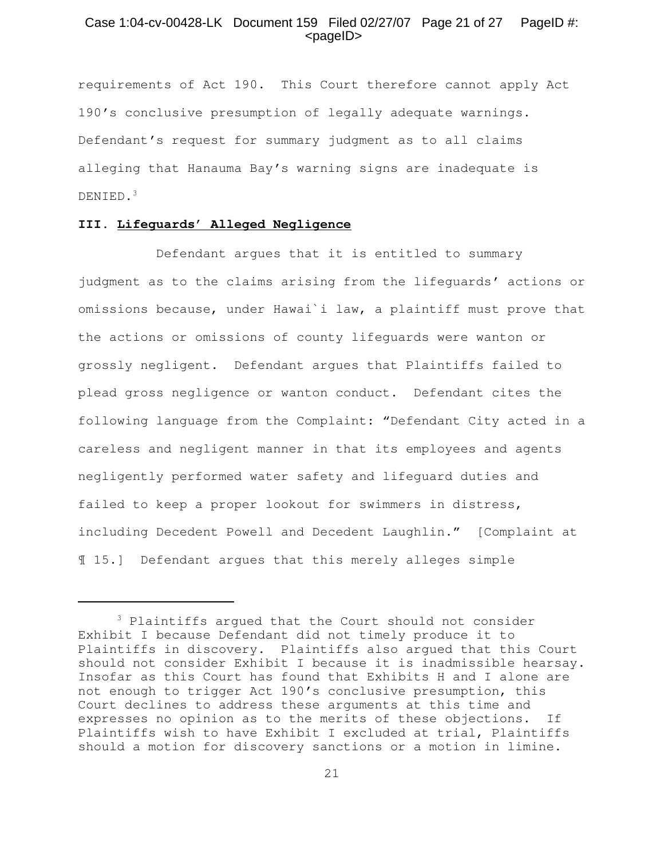## Case 1:04-cv-00428-LK Document 159 Filed 02/27/07 Page 21 of 27 PageID #:  $<$ pageID $>$

requirements of Act 190. This Court therefore cannot apply Act 190's conclusive presumption of legally adequate warnings. Defendant's request for summary judgment as to all claims alleging that Hanauma Bay's warning signs are inadequate is DENIED.<sup>3</sup>

#### **III. Lifeguards' Alleged Negligence**

Defendant argues that it is entitled to summary judgment as to the claims arising from the lifeguards' actions or omissions because, under Hawai`i law, a plaintiff must prove that the actions or omissions of county lifeguards were wanton or grossly negligent. Defendant argues that Plaintiffs failed to plead gross negligence or wanton conduct. Defendant cites the following language from the Complaint: "Defendant City acted in a careless and negligent manner in that its employees and agents negligently performed water safety and lifeguard duties and failed to keep a proper lookout for swimmers in distress, including Decedent Powell and Decedent Laughlin." [Complaint at ¶ 15.] Defendant argues that this merely alleges simple

<sup>3</sup> Plaintiffs argued that the Court should not consider Exhibit I because Defendant did not timely produce it to Plaintiffs in discovery. Plaintiffs also argued that this Court should not consider Exhibit I because it is inadmissible hearsay. Insofar as this Court has found that Exhibits H and I alone are not enough to trigger Act 190's conclusive presumption, this Court declines to address these arguments at this time and expresses no opinion as to the merits of these objections. If Plaintiffs wish to have Exhibit I excluded at trial, Plaintiffs should a motion for discovery sanctions or a motion in limine.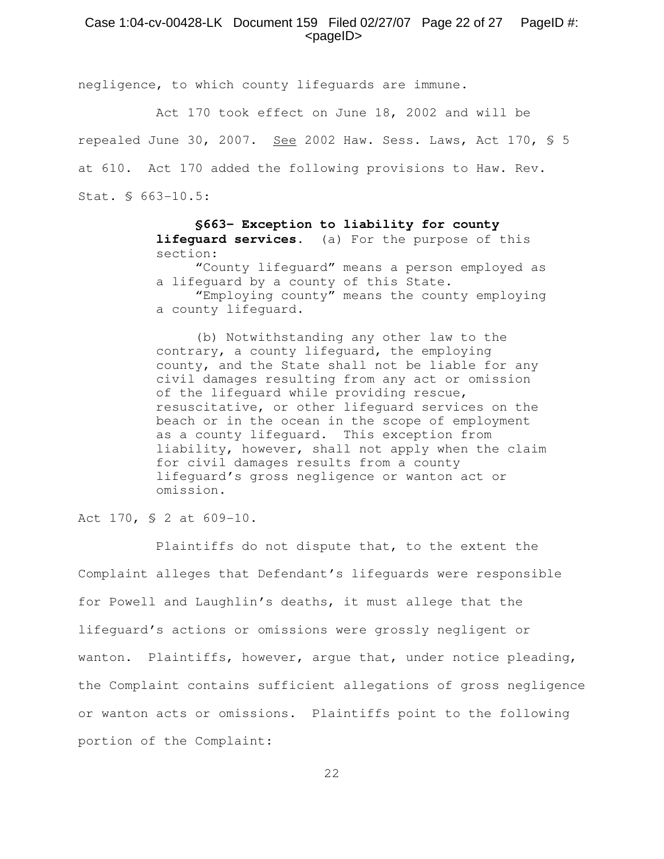## Case 1:04-cv-00428-LK Document 159 Filed 02/27/07 Page 22 of 27 PageID #:  $<$ pageID $>$

negligence, to which county lifeguards are immune.

Act 170 took effect on June 18, 2002 and will be repealed June 30, 2007. See 2002 Haw. Sess. Laws, Act 170, § 5 at 610. Act 170 added the following provisions to Haw. Rev. Stat. § 663-10.5:

> **§663- Exception to liability for county lifeguard services.** (a) For the purpose of this section:

"County lifeguard" means a person employed as a lifeguard by a county of this State.

"Employing county" means the county employing a county lifeguard.

(b) Notwithstanding any other law to the contrary, a county lifeguard, the employing county, and the State shall not be liable for any civil damages resulting from any act or omission of the lifeguard while providing rescue, resuscitative, or other lifeguard services on the beach or in the ocean in the scope of employment as a county lifeguard. This exception from liability, however, shall not apply when the claim for civil damages results from a county lifeguard's gross negligence or wanton act or omission.

Act 170, § 2 at 609-10.

Plaintiffs do not dispute that, to the extent the Complaint alleges that Defendant's lifeguards were responsible for Powell and Laughlin's deaths, it must allege that the lifeguard's actions or omissions were grossly negligent or wanton. Plaintiffs, however, argue that, under notice pleading, the Complaint contains sufficient allegations of gross negligence or wanton acts or omissions. Plaintiffs point to the following portion of the Complaint: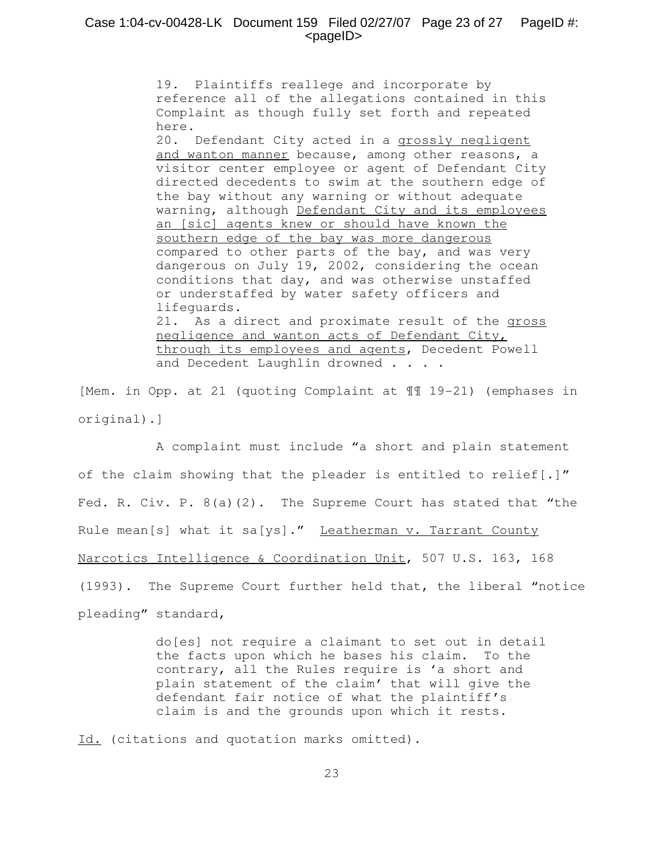## Case 1:04-cv-00428-LK Document 159 Filed 02/27/07 Page 23 of 27 PageID #:  $<$ pageID $>$

19. Plaintiffs reallege and incorporate by reference all of the allegations contained in this Complaint as though fully set forth and repeated here.

20. Defendant City acted in a grossly negligent and wanton manner because, among other reasons, a visitor center employee or agent of Defendant City directed decedents to swim at the southern edge of the bay without any warning or without adequate warning, although Defendant City and its employees an [sic] agents knew or should have known the southern edge of the bay was more dangerous compared to other parts of the bay, and was very dangerous on July 19, 2002, considering the ocean conditions that day, and was otherwise unstaffed or understaffed by water safety officers and lifeguards. 21. As a direct and proximate result of the gross negligence and wanton acts of Defendant City, through its employees and agents, Decedent Powell and Decedent Laughlin drowned . . . .

[Mem. in Opp. at 21 (quoting Complaint at ¶¶ 19-21) (emphases in original).]

A complaint must include "a short and plain statement of the claim showing that the pleader is entitled to relief[.]" Fed. R. Civ. P. 8(a)(2). The Supreme Court has stated that "the Rule mean[s] what it sa[ys]." Leatherman v. Tarrant County Narcotics Intelligence & Coordination Unit, 507 U.S. 163, 168 (1993). The Supreme Court further held that, the liberal "notice pleading" standard,

> do[es] not require a claimant to set out in detail the facts upon which he bases his claim. To the contrary, all the Rules require is 'a short and plain statement of the claim' that will give the defendant fair notice of what the plaintiff's claim is and the grounds upon which it rests.

Id. (citations and quotation marks omitted).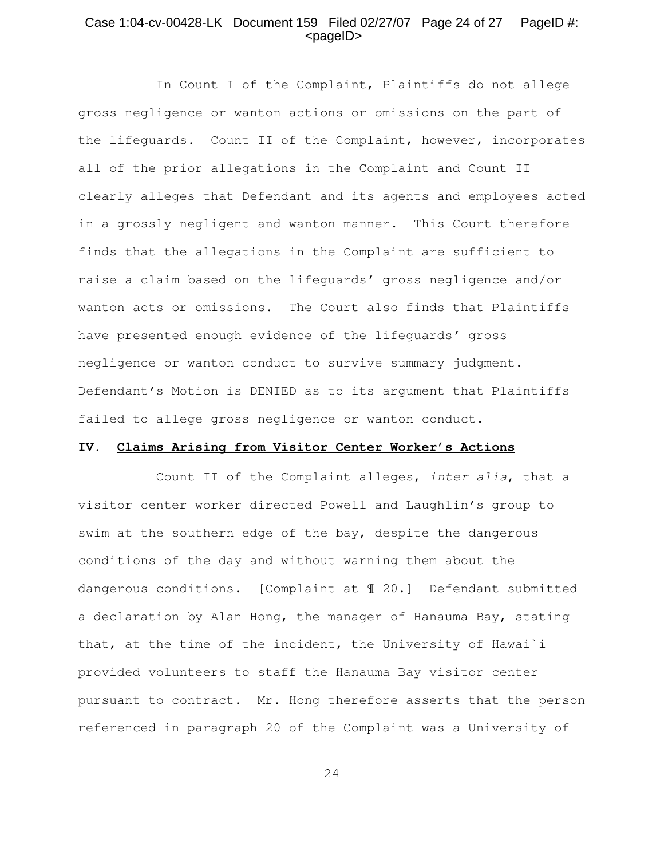## Case 1:04-cv-00428-LK Document 159 Filed 02/27/07 Page 24 of 27 PageID #: <pageID>

In Count I of the Complaint, Plaintiffs do not allege gross negligence or wanton actions or omissions on the part of the lifeguards. Count II of the Complaint, however, incorporates all of the prior allegations in the Complaint and Count II clearly alleges that Defendant and its agents and employees acted in a grossly negligent and wanton manner. This Court therefore finds that the allegations in the Complaint are sufficient to raise a claim based on the lifeguards' gross negligence and/or wanton acts or omissions. The Court also finds that Plaintiffs have presented enough evidence of the lifeguards' gross negligence or wanton conduct to survive summary judgment. Defendant's Motion is DENIED as to its argument that Plaintiffs failed to allege gross negligence or wanton conduct.

## **IV. Claims Arising from Visitor Center Worker's Actions**

Count II of the Complaint alleges, inter alia, that a visitor center worker directed Powell and Laughlin's group to swim at the southern edge of the bay, despite the dangerous conditions of the day and without warning them about the dangerous conditions. [Complaint at ¶ 20.] Defendant submitted a declaration by Alan Hong, the manager of Hanauma Bay, stating that, at the time of the incident, the University of Hawai`i provided volunteers to staff the Hanauma Bay visitor center pursuant to contract. Mr. Hong therefore asserts that the person referenced in paragraph 20 of the Complaint was a University of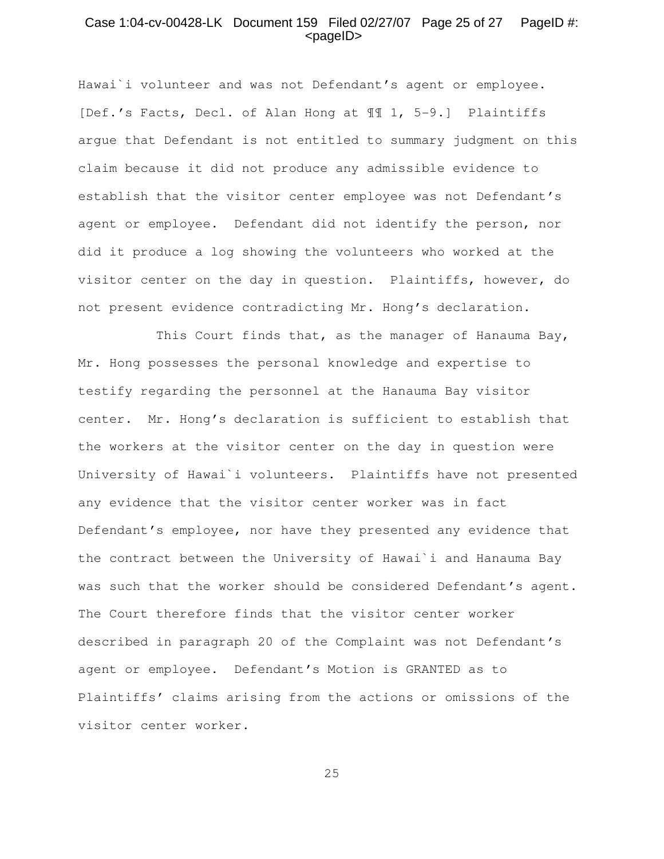## Case 1:04-cv-00428-LK Document 159 Filed 02/27/07 Page 25 of 27 PageID #: <pageID>

Hawai`i volunteer and was not Defendant's agent or employee. [Def.'s Facts, Decl. of Alan Hong at ¶¶ 1, 5-9.] Plaintiffs argue that Defendant is not entitled to summary judgment on this claim because it did not produce any admissible evidence to establish that the visitor center employee was not Defendant's agent or employee. Defendant did not identify the person, nor did it produce a log showing the volunteers who worked at the visitor center on the day in question. Plaintiffs, however, do not present evidence contradicting Mr. Hong's declaration.

This Court finds that, as the manager of Hanauma Bay, Mr. Hong possesses the personal knowledge and expertise to testify regarding the personnel at the Hanauma Bay visitor center. Mr. Hong's declaration is sufficient to establish that the workers at the visitor center on the day in question were University of Hawai`i volunteers. Plaintiffs have not presented any evidence that the visitor center worker was in fact Defendant's employee, nor have they presented any evidence that the contract between the University of Hawai`i and Hanauma Bay was such that the worker should be considered Defendant's agent. The Court therefore finds that the visitor center worker described in paragraph 20 of the Complaint was not Defendant's agent or employee. Defendant's Motion is GRANTED as to Plaintiffs' claims arising from the actions or omissions of the visitor center worker.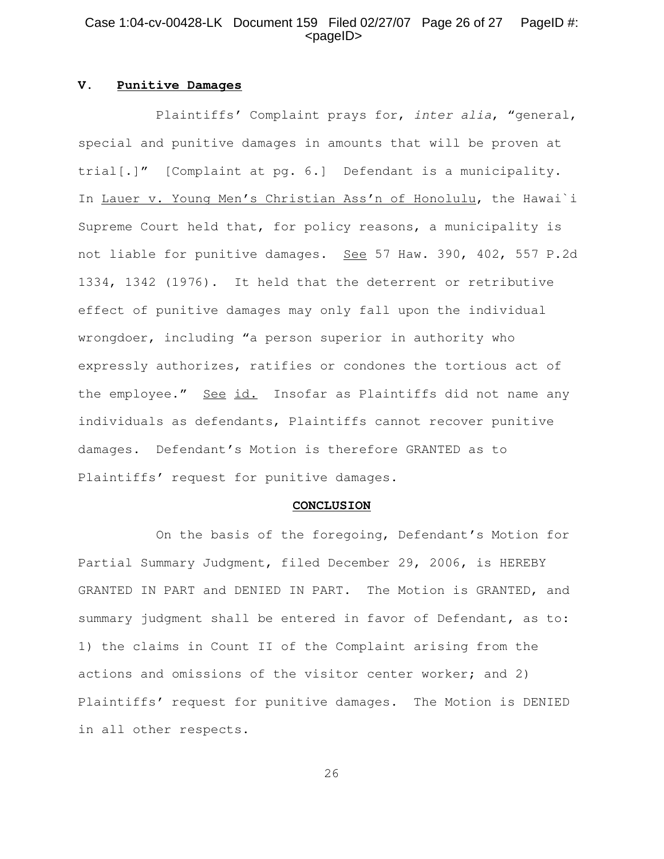## Case 1:04-cv-00428-LK Document 159 Filed 02/27/07 Page 26 of 27 PageID #: <pageID>

## **V. Punitive Damages**

Plaintiffs' Complaint prays for, inter alia, "general, special and punitive damages in amounts that will be proven at trial[.]" [Complaint at pg. 6.] Defendant is a municipality. In Lauer v. Young Men's Christian Ass'n of Honolulu, the Hawai`i Supreme Court held that, for policy reasons, a municipality is not liable for punitive damages. See 57 Haw. 390, 402, 557 P.2d 1334, 1342 (1976). It held that the deterrent or retributive effect of punitive damages may only fall upon the individual wrongdoer, including "a person superior in authority who expressly authorizes, ratifies or condones the tortious act of the employee." See id. Insofar as Plaintiffs did not name any individuals as defendants, Plaintiffs cannot recover punitive damages. Defendant's Motion is therefore GRANTED as to Plaintiffs' request for punitive damages.

#### **CONCLUSION**

On the basis of the foregoing, Defendant's Motion for Partial Summary Judgment, filed December 29, 2006, is HEREBY GRANTED IN PART and DENIED IN PART. The Motion is GRANTED, and summary judgment shall be entered in favor of Defendant, as to: 1) the claims in Count II of the Complaint arising from the actions and omissions of the visitor center worker; and 2) Plaintiffs' request for punitive damages. The Motion is DENIED in all other respects.